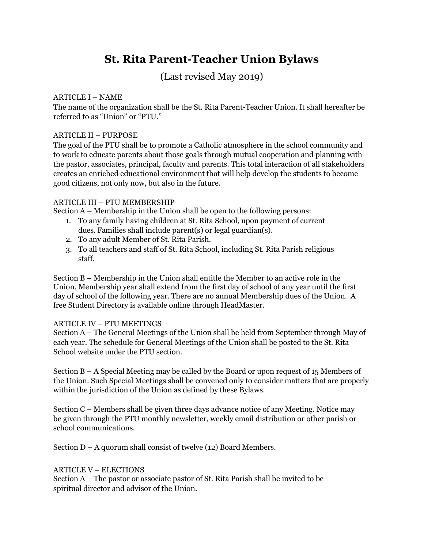# St. Rita Parent-Teacher Union Bylaws

## (Last revised May 2019)

#### ARTICLE I – NAME

The name of the organization shall be the St. Rita Parent-Teacher Union. It shall hereafter be referred to as "Union" or "PTU."

#### ARTICLE II – PURPOSE

The goal of the PTU shall be to promote a Catholic atmosphere in the school community and to work to educate parents about those goals through mutual cooperation and planning with the pastor, associates, principal, faculty and parents. This total interaction of all stakeholders creates an enriched educational environment that will help develop the students to become good citizens, not only now, but also in the future.

#### ARTICLE III – PTU MEMBERSHIP

Section A – Membership in the Union shall be open to the following persons:

- 1. To any family having children at St. Rita School, upon payment of current dues. Families shall include parent(s) or legal guardian(s).
- 2. To any adult Member of St. Rita Parish.
- 3. To all teachers and staff of St. Rita School, including St. Rita Parish religious staff.

Section B – Membership in the Union shall entitle the Member to an active role in the Union. Membership year shall extend from the first day of school of any year until the first day of school of the following year. There are no annual Membership dues of the Union. A free Student Directory is available online through HeadMaster.

#### ARTICLE IV – PTU MEETINGS

Section A – The General Meetings of the Union shall be held from September through May of each year. The schedule for General Meetings of the Union shall be posted to the St. Rita School website under the PTU section.

Section B – A Special Meeting may be called by the Board or upon request of 15 Members of the Union. Such Special Meetings shall be convened only to consider matters that are properly within the jurisdiction of the Union as defined by these Bylaws.

Section C – Members shall be given three days advance notice of any Meeting. Notice may be given through the PTU monthly newsletter, weekly email distribution or other parish or school communications.

Section D – A quorum shall consist of twelve (12) Board Members.

#### ARTICLE V – ELECTIONS

Section A – The pastor or associate pastor of St. Rita Parish shall be invited to be spiritual director and advisor of the Union.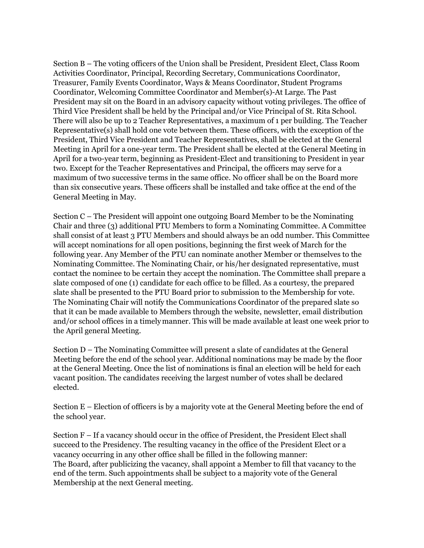Section B – The voting officers of the Union shall be President, President Elect, Class Room Activities Coordinator, Principal, Recording Secretary, Communications Coordinator, Treasurer, Family Events Coordinator, Ways & Means Coordinator, Student Programs Coordinator, Welcoming Committee Coordinator and Member(s)-At Large. The Past President may sit on the Board in an advisory capacity without voting privileges. The office of Third Vice President shall be held by the Principal and/or Vice Principal of St. Rita School. There will also be up to 2 Teacher Representatives, a maximum of 1 per building. The Teacher Representative(s) shall hold one vote between them. These officers, with the exception of the President, Third Vice President and Teacher Representatives, shall be elected at the General Meeting in April for a one-year term. The President shall be elected at the General Meeting in April for a two-year term, beginning as President-Elect and transitioning to President in year two. Except for the Teacher Representatives and Principal, the officers may serve for a maximum of two successive terms in the same office. No officer shall be on the Board more than six consecutive years. These officers shall be installed and take office at the end of the General Meeting in May.

Section C – The President will appoint one outgoing Board Member to be the Nominating Chair and three (3) additional PTU Members to form a Nominating Committee. A Committee shall consist of at least 3 PTU Members and should always be an odd number. This Committee will accept nominations for all open positions, beginning the first week of March for the following year. Any Member of the PTU can nominate another Member or themselves to the Nominating Committee. The Nominating Chair, or his/her designated representative, must contact the nominee to be certain they accept the nomination. The Committee shall prepare a slate composed of one (1) candidate for each office to be filled. As a courtesy, the prepared slate shall be presented to the PTU Board prior to submission to the Membership for vote. The Nominating Chair will notify the Communications Coordinator of the prepared slate so that it can be made available to Members through the website, newsletter, email distribution and/or school offices in a timely manner. This will be made available at least one week prior to the April general Meeting.

Section D – The Nominating Committee will present a slate of candidates at the General Meeting before the end of the school year. Additional nominations may be made by the floor at the General Meeting. Once the list of nominations is final an election will be held for each vacant position. The candidates receiving the largest number of votes shall be declared elected.

Section E – Election of officers is by a majority vote at the General Meeting before the end of the school year.

Section F – If a vacancy should occur in the office of President, the President Elect shall succeed to the Presidency. The resulting vacancy in the office of the President Elect or a vacancy occurring in any other office shall be filled in the following manner: The Board, after publicizing the vacancy, shall appoint a Member to fill that vacancy to the end of the term. Such appointments shall be subject to a majority vote of the General Membership at the next General meeting.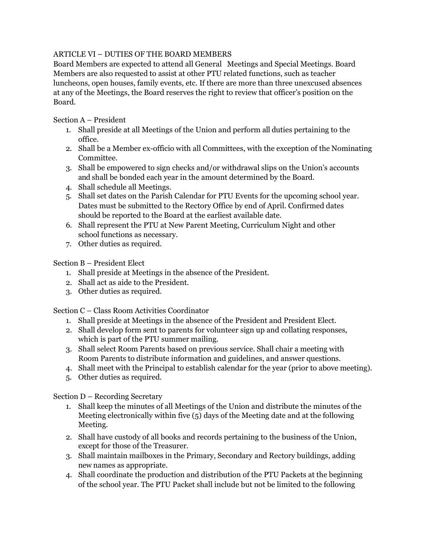### ARTICLE VI – DUTIES OF THE BOARD MEMBERS

Board Members are expected to attend all General Meetings and Special Meetings. Board Members are also requested to assist at other PTU related functions, such as teacher luncheons, open houses, family events, etc. If there are more than three unexcused absences at any of the Meetings, the Board reserves the right to review that officer's position on the Board.

Section A – President

- 1. Shall preside at all Meetings of the Union and perform all duties pertaining to the office.
- 2. Shall be a Member ex-officio with all Committees, with the exception of the Nominating Committee.
- 3. Shall be empowered to sign checks and/or withdrawal slips on the Union's accounts and shall be bonded each year in the amount determined by the Board.
- 4. Shall schedule all Meetings.
- 5. Shall set dates on the Parish Calendar for PTU Events for the upcoming school year. Dates must be submitted to the Rectory Office by end of April. Confirmed dates should be reported to the Board at the earliest available date.
- 6. Shall represent the PTU at New Parent Meeting, Curriculum Night and other school functions as necessary.
- 7. Other duties as required.

Section B – President Elect

- 1. Shall preside at Meetings in the absence of the President.
- 2. Shall act as aide to the President.
- 3. Other duties as required.

Section C – Class Room Activities Coordinator

- 1. Shall preside at Meetings in the absence of the President and President Elect.
- 2. Shall develop form sent to parents for volunteer sign up and collating responses, which is part of the PTU summer mailing.
- 3. Shall select Room Parents based on previous service. Shall chair a meeting with Room Parents to distribute information and guidelines, and answer questions.
- 4. Shall meet with the Principal to establish calendar for the year (prior to above meeting).
- 5. Other duties as required.

Section D – Recording Secretary

- 1. Shall keep the minutes of all Meetings of the Union and distribute the minutes of the Meeting electronically within five (5) days of the Meeting date and at the following Meeting.
- 2. Shall have custody of all books and records pertaining to the business of the Union, except for those of the Treasurer.
- 3. Shall maintain mailboxes in the Primary, Secondary and Rectory buildings, adding new names as appropriate.
- 4. Shall coordinate the production and distribution of the PTU Packets at the beginning of the school year. The PTU Packet shall include but not be limited to the following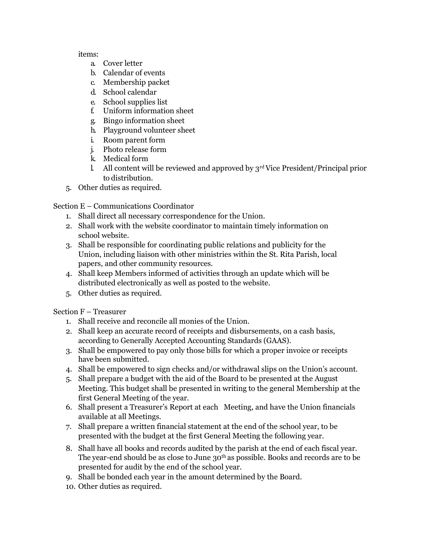#### items:

- a. Cover letter
- b. Calendar of events
- c. Membership packet
- d. School calendar
- e. School supplies list
- f. Uniform information sheet
- g. Bingo information sheet
- h. Playground volunteer sheet
- i. Room parent form
- j. Photo release form
- k. Medical form
- l. All content will be reviewed and approved by  $3<sup>rd</sup>$  Vice President/Principal prior to distribution.
- 5. Other duties as required.

Section E – Communications Coordinator

- 1. Shall direct all necessary correspondence for the Union.
- 2. Shall work with the website coordinator to maintain timely information on school website.
- 3. Shall be responsible for coordinating public relations and publicity for the Union, including liaison with other ministries within the St. Rita Parish, local papers, and other community resources.
- 4. Shall keep Members informed of activities through an update which will be distributed electronically as well as posted to the website.
- 5. Other duties as required.

Section F – Treasurer

- 1. Shall receive and reconcile all monies of the Union.
- 2. Shall keep an accurate record of receipts and disbursements, on a cash basis, according to Generally Accepted Accounting Standards (GAAS).
- 3. Shall be empowered to pay only those bills for which a proper invoice or receipts have been submitted.
- 4. Shall be empowered to sign checks and/or withdrawal slips on the Union's account.
- 5. Shall prepare a budget with the aid of the Board to be presented at the August Meeting. This budget shall be presented in writing to the general Membership at the first General Meeting of the year.
- 6. Shall present a Treasurer's Report at each Meeting, and have the Union financials available at all Meetings.
- 7. Shall prepare a written financial statement at the end of the school year, to be presented with the budget at the first General Meeting the following year.
- 8. Shall have all books and records audited by the parish at the end of each fiscal year. The year-end should be as close to June 30<sup>th</sup> as possible. Books and records are to be presented for audit by the end of the school year.
- 9. Shall be bonded each year in the amount determined by the Board.
- 10. Other duties as required.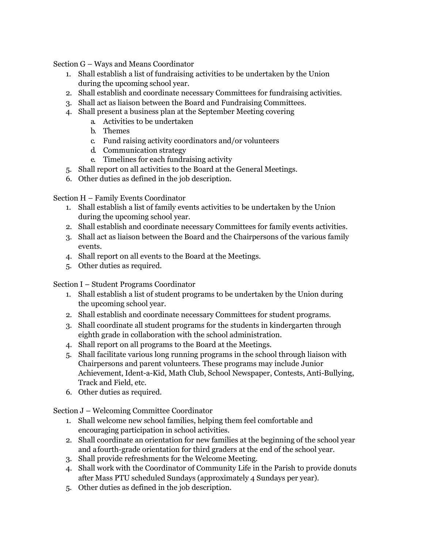Section G – Ways and Means Coordinator

- 1. Shall establish a list of fundraising activities to be undertaken by the Union during the upcoming school year.
- 2. Shall establish and coordinate necessary Committees for fundraising activities.
- 3. Shall act as liaison between the Board and Fundraising Committees.
- 4. Shall present a business plan at the September Meeting covering
	- a. Activities to be undertaken
	- b. Themes
	- c. Fund raising activity coordinators and/or volunteers
	- d. Communication strategy
	- e. Timelines for each fundraising activity
- 5. Shall report on all activities to the Board at the General Meetings.
- 6. Other duties as defined in the job description.

Section H – Family Events Coordinator

- 1. Shall establish a list of family events activities to be undertaken by the Union during the upcoming school year.
- 2. Shall establish and coordinate necessary Committees for family events activities.
- 3. Shall act as liaison between the Board and the Chairpersons of the various family events.
- 4. Shall report on all events to the Board at the Meetings.
- 5. Other duties as required.

Section I – Student Programs Coordinator

- 1. Shall establish a list of student programs to be undertaken by the Union during the upcoming school year.
- 2. Shall establish and coordinate necessary Committees for student programs.
- 3. Shall coordinate all student programs for the students in kindergarten through eighth grade in collaboration with the school administration.
- 4. Shall report on all programs to the Board at the Meetings.
- 5. Shall facilitate various long running programs in the school through liaison with Chairpersons and parent volunteers. These programs may include Junior Achievement, Ident-a-Kid, Math Club, School Newspaper, Contests, Anti-Bullying, Track and Field, etc.
- 6. Other duties as required.

Section J – Welcoming Committee Coordinator

- 1. Shall welcome new school families, helping them feel comfortable and encouraging participation in school activities.
- 2. Shall coordinate an orientation for new families at the beginning of the school year and a fourth-grade orientation for third graders at the end of the school year.
- 3. Shall provide refreshments for the Welcome Meeting.
- 4. Shall work with the Coordinator of Community Life in the Parish to provide donuts after Mass PTU scheduled Sundays (approximately 4 Sundays per year).
- 5. Other duties as defined in the job description.